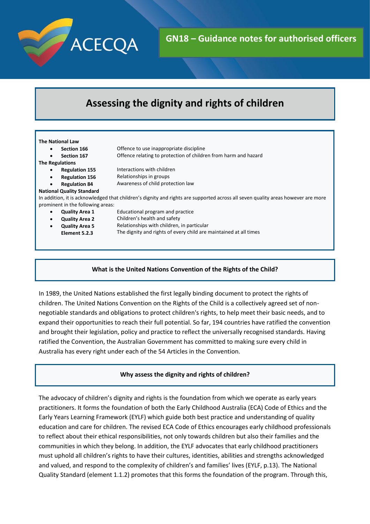

# **Assessing the dignity and rights of children**

#### **The National Law Section 166 Section 167** Offence to use inappropriate discipline Offence relating to protection of children from harm and hazard **The Regulations Regulation 155 Regulation 156 Regulation 84** Interactions with children Relationships in groups Awareness of child protection law **National Quality Standard** In addition, it is acknowledged that children's dignity and rights are supported across all seven quality areas however are more prominent in the following areas: **Quality Area 1 Quality Area 2 Quality Area 5 Element 5.2.3** Educational program and practice Children's health and safety Relationships with children, in particular The dignity and rights of every child are maintained at all times

# **What is the United Nations Convention of the Rights of the Child?**

In 1989, the United Nations established the first legally binding document to protect the rights of children. The United Nations Convention on the Rights of the Child is a collectively agreed set of nonnegotiable standards and obligations to protect children's rights, to help meet their basic needs, and to expand their opportunities to reach their full potential. So far, 194 countries have ratified the convention and brought their legislation, policy and practice to reflect the universally recognised standards. Having ratified the Convention, the Australian Government has committed to making sure every child in Australia has every right under each of the 54 Articles in the Convention.

# **Why assess the dignity and rights of children?**

The advocacy of children's dignity and rights is the foundation from which we operate as early years practitioners. It forms the foundation of both the Early Childhood Australia (ECA) Code of Ethics and the Early Years Learning Framework (EYLF) which guide both best practice and understanding of quality education and care for children. The revised ECA Code of Ethics encourages early childhood professionals to reflect about their ethical responsibilities, not only towards children but also their families and the communities in which they belong. In addition, the EYLF advocates that early childhood practitioners must uphold all children's rights to have their cultures, identities, abilities and strengths acknowledged and valued, and respond to the complexity of children's and families' lives (EYLF, p.13). The National Quality Standard (element 1.1.2) promotes that this forms the foundation of the program. Through this,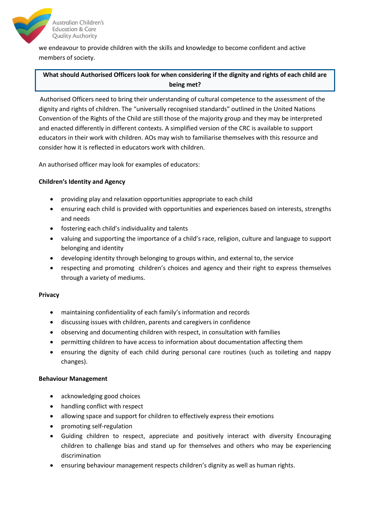

we endeavour to provide children with the skills and knowledge to become confident and active members of society.

# **What should Authorised Officers look for when considering if the dignity and rights of each child are being met?**

Authorised Officers need to bring their understanding of cultural competence to the assessment of the dignity and rights of children. The "universally recognised standards" outlined in the United Nations Convention of the Rights of the Child are still those of the majority group and they may be interpreted and enacted differently in different contexts. A simplified version of the CRC is available to support educators in their work with children. AOs may wish to familiarise themselves with this resource and consider how it is reflected in educators work with children.

An authorised officer may look for examples of educators:

# **Children's Identity and Agency**

- providing play and relaxation opportunities appropriate to each child
- ensuring each child is provided with opportunities and experiences based on interests, strengths and needs
- fostering each child's individuality and talents
- valuing and supporting the importance of a child's race, religion, culture and language to support belonging and identity
- developing identity through belonging to groups within, and external to, the service
- respecting and promoting children's choices and agency and their right to express themselves through a variety of mediums.

#### **Privacy**

- maintaining confidentiality of each family's information and records
- discussing issues with children, parents and caregivers in confidence
- observing and documenting children with respect, in consultation with families
- permitting children to have access to information about documentation affecting them
- ensuring the dignity of each child during personal care routines (such as toileting and nappy changes).

#### **Behaviour Management**

- acknowledging good choices
- handling conflict with respect
- allowing space and support for children to effectively express their emotions
- promoting self-regulation
- Guiding children to respect, appreciate and positively interact with diversity Encouraging children to challenge bias and stand up for themselves and others who may be experiencing discrimination
- ensuring behaviour management respects children's dignity as well as human rights.